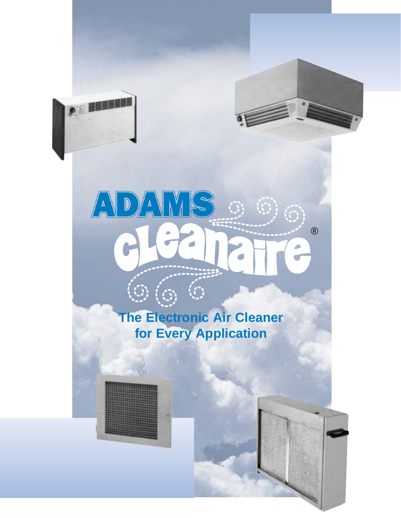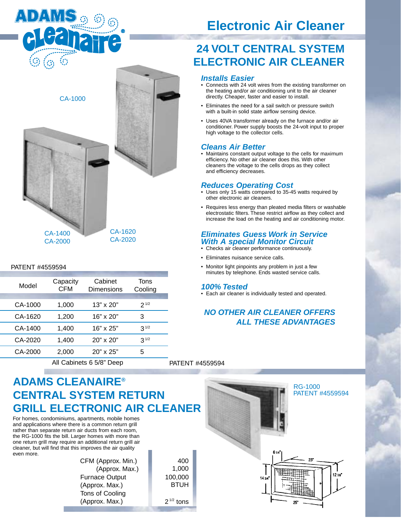

CA-1000

# **Electronic Air Cleaner**

## **24 VOLT CENTRAL SYSTEM ELECTRONIC AIR CLEANER**

#### **Installs Easier**

- Connects with 24 volt wires from the existing transformer on the heating and/or air conditioning unit to the air cleaner directly. Cheaper, faster and easier to install.
- Eliminates the need for a sail switch or pressure switch with a built-in solid state airflow sensing device.
- Uses 40VA transformer already on the furnace and/or air conditioner. Power supply boosts the 24-volt input to proper high voltage to the collector cells.

### **Cleans Air Better**

• Maintains constant output voltage to the cells for maximum efficiency. No other air cleaner does this. With other cleaners the voltage to the cells drops as they collect and efficiency decreases.

#### **Reduces Operating Cost**

- Uses only 15 watts compared to 35-45 watts required by other electronic air cleaners.
- Requires less energy than pleated media filters or washable electrostatic filters. These restrict airflow as they collect and increase the load on the heating and air conditioning motor.

#### **Eliminates Guess Work in Service With A special Monitor Circuit**

- Checks air cleaner performance continuously.
- Eliminates nuisance service calls.
- Monitor light pinpoints any problem in just a few minutes by telephone. Ends wasted service calls.

#### **100% Tested**

• Each air cleaner is individually tested and operated.

### **NO OTHER AIR CLEANER OFFERS ALL THESE ADVANTAGES**



#### PATENT #4559594

| Model   | Capacity<br><b>CFM</b> | Cabinet<br>Dimensions | Tons<br>Cooling |  |
|---------|------------------------|-----------------------|-----------------|--|
|         |                        |                       |                 |  |
| CA-1000 | 1,000                  | $13" \times 20"$      | $2^{1/2}$       |  |
| CA-1620 | 1,200                  | 16" x 20"             | 3               |  |
| CA-1400 | 1,400                  | 16" x 25"             | $3^{1/2}$       |  |
| CA-2020 | 1,400                  | 20" x 20"             | $3^{1/2}$       |  |
| CA-2000 | 2,000                  | $20" \times 25"$      | 5               |  |
|         |                        |                       |                 |  |

All Cabinets 6 5/8" Deep

PATENT #4559594

## **ADAMS CLEANAIRE® CENTRAL SYSTEM RETURN GRILL ELECTRONIC AIR CLEANER**

For homes, condominiums, apartments, mobile homes and applications where there is a common return grill rather than separate return air ducts from each room, the RG-1000 fits the bill. Larger homes with more than one return grill may require an additional return grill air cleaner, but will find that this improves the air quality even more.

> CFM (Approx. Min.) (Approx. Max.) Furnace Output (Approx. Max.) Tons of Cooling (Approx. Max.)

400 1,000 100,000 BTUH  $2^{1/2}$  tons

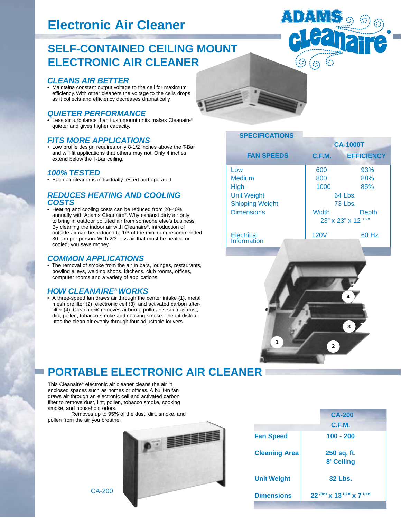# **Electronic Air Cleaner**

## **SELF-CONTAINED CEILING MOUNT ELECTRONIC AIR CLEANER**

#### **CLEANS AIR BETTER**

• Maintains constant output voltage to the cell for maximum efficiency. With other cleaners the voltage to the cells drops as it collects and efficiency decreases dramatically.

#### **QUIETER PERFORMANCE**

• Less air turbulance than flush mount units makes Cleanaire® quieter and gives higher capacity.

#### **FITS MORE APPLICATIONS**

• Low profile design requires only 8-1/2 inches above the T-Bar and will fit applications that others may not. Only 4 inches extend below the T-Bar ceiling.

#### **100% TESTED**

• Each air cleaner is individually tested and operated.

#### **REDUCES HEATING AND COOLING COSTS**

• Heating and cooling costs can be reduced from 20-40% annually with Adams Cleanaire®. Why exhaust dirty air only to bring in outdoor polluted air from someone else's business. By cleaning the indoor air with Cleanaire®, introduction of outside air can be reduced to 1/3 of the minimum recommended 30 cfm per person. With 2/3 less air that must be heated or cooled, you save money.

#### **COMMON APPLICATIONS**

• The removal of smoke from the air in bars, lounges, restaurants, bowling alleys, welding shops, kitchens, club rooms, offices, computer rooms and a variety of applications.

#### **HOW CLEANAIRE®WORKS**

• A three-speed fan draws air through the center intake (1), metal mesh prefilter (2), electronic cell (3), and activated carbon afterfilter (4). Cleanaire® removes airborne pollutants such as dust, dirt, pollen, tobacco smoke and cooking smoke. Then it distributes the clean air evenly through four adjustable louvers.



### **SPECIFICATIONS**

|                        | <b>CA-1000T</b>     |                   |  |
|------------------------|---------------------|-------------------|--|
| <b>FAN SPEEDS</b>      | C.F.M.              | <b>EFFICIENCY</b> |  |
| Low                    | 600                 | 93%               |  |
| <b>Medium</b>          | 800                 | 88%               |  |
| <b>High</b>            | 1000                | 85%               |  |
| <b>Unit Weight</b>     | 64 Lbs.             |                   |  |
| <b>Shipping Weight</b> | <b>73 Lbs.</b>      |                   |  |
| <b>Dimensions</b>      | <b>Width</b>        | <b>Depth</b>      |  |
|                        | 23" x 23" x 12 1/2" |                   |  |
| Electrical             | <b>120V</b>         | 60 Hz             |  |
| Information            |                     |                   |  |
|                        |                     |                   |  |

®



## **PORTABLE ELECTRONIC AIR CLEANER**

This Cleanaire® electronic air cleaner cleans the air in enclosed spaces such as homes or offices. A built-in fan draws air through an electronic cell and activated carbon filter to remove dust, lint, pollen, tobacco smoke, cooking smoke, and household odors.

Removes up to 95% of the dust, dirt, smoke, and pollen from the air you breathe.



|                      | <b>CA-200</b>                                     |
|----------------------|---------------------------------------------------|
|                      | C.F.M.                                            |
| <b>Fan Speed</b>     | 100 - 200                                         |
| <b>Cleaning Area</b> | 250 sq. ft.                                       |
|                      | 8' Ceiling                                        |
| <b>Unit Weight</b>   | <b>32 Lbs.</b>                                    |
| <b>Dimensions</b>    | $22^{7/8}$ x 13 <sup>1/2</sup> x 7 <sup>1/2</sup> |

CA-200